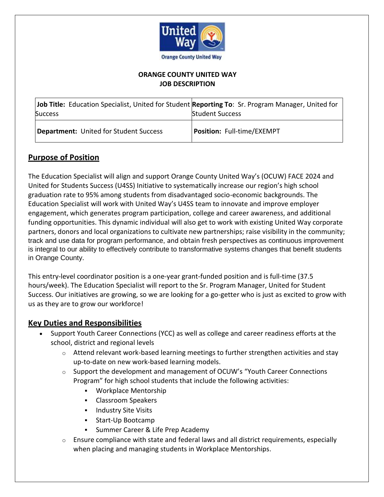

### **ORANGE COUNTY UNITED WAY JOB DESCRIPTION**

| Job Title: Education Specialist, United for Student Reporting To: Sr. Program Manager, United for<br><b>Success</b> | <b>Student Success</b>     |
|---------------------------------------------------------------------------------------------------------------------|----------------------------|
| Department: United for Student Success                                                                              | Position: Full-time/EXEMPT |

# **Purpose of Position**

The Education Specialist will align and support Orange County United Way's (OCUW) FACE 2024 and United for Students Success (U4SS) Initiative to systematically increase our region's high school graduation rate to 95% among students from disadvantaged socio-economic backgrounds. The Education Specialist will work with United Way's U4SS team to innovate and improve employer engagement, which generates program participation, college and career awareness, and additional funding opportunities. This dynamic individual will also get to work with existing United Way corporate partners, donors and local organizations to cultivate new partnerships; raise visibility in the community; track and use data for program performance, and obtain fresh perspectives as continuous improvement is integral to our ability to effectively contribute to transformative systems changes that benefit students in Orange County.

This entry-level coordinator position is a one-year grant-funded position and is full-time (37.5 hours/week). The Education Specialist will report to the Sr. Program Manager, United for Student Success. Our initiatives are growing, so we are looking for a go-getter who is just as excited to grow with us as they are to grow our workforce!

### **Key Duties and Responsibilities**

- Support Youth Career Connections (YCC) as well as college and career readiness efforts at the school, district and regional levels
	- $\circ$  Attend relevant work-based learning meetings to further strengthen activities and stay up-to-date on new work-based learning models.
	- $\circ$  Support the development and management of OCUW's "Youth Career Connections" Program" for high school students that include the following activities:
		- Workplace Mentorship
		- Classroom Speakers
		- **Industry Site Visits**
		- Start-Up Bootcamp
		- Summer Career & Life Prep Academy
	- $\circ$  Ensure compliance with state and federal laws and all district requirements, especially when placing and managing students in Workplace Mentorships.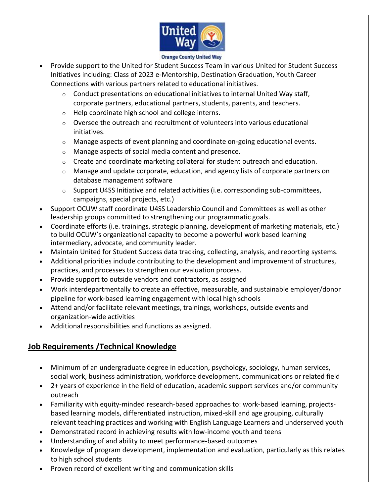

#### **Orange County United Way**

- Provide support to the United for Student Success Team in various United for Student Success Initiatives including: Class of 2023 e-Mentorship, Destination Graduation, Youth Career Connections with various partners related to educational initiatives.
	- $\circ$  Conduct presentations on educational initiatives to internal United Way staff, corporate partners, educational partners, students, parents, and teachers.
	- o Help coordinate high school and college interns.
	- $\circ$  Oversee the outreach and recruitment of volunteers into various educational initiatives.
	- o Manage aspects of event planning and coordinate on-going educational events.
	- o Manage aspects of social media content and presence.
	- $\circ$  Create and coordinate marketing collateral for student outreach and education.
	- $\circ$  Manage and update corporate, education, and agency lists of corporate partners on database management software
	- $\circ$  Support U4SS Initiative and related activities (i.e. corresponding sub-committees, campaigns, special projects, etc.)
- Support OCUW staff coordinate U4SS Leadership Council and Committees as well as other leadership groups committed to strengthening our programmatic goals.
- Coordinate efforts (i.e. trainings, strategic planning, development of marketing materials, etc.) to build OCUW's organizational capacity to become a powerful work based learning intermediary, advocate, and community leader.
- Maintain United for Student Success data tracking, collecting, analysis, and reporting systems.
- Additional priorities include contributing to the development and improvement of structures, practices, and processes to strengthen our evaluation process.
- Provide support to outside vendors and contractors, as assigned
- Work interdepartmentally to create an effective, measurable, and sustainable employer/donor pipeline for work-based learning engagement with local high schools
- Attend and/or facilitate relevant meetings, trainings, workshops, outside events and organization-wide activities
- Additional responsibilities and functions as assigned.

# **Job Requirements /Technical Knowledge**

- Minimum of an undergraduate degree in education, psychology, sociology, human services, social work, business administration, workforce development, communications or related field
- 2+ years of experience in the field of education, academic support services and/or community outreach
- Familiarity with equity-minded research-based approaches to: work-based learning, projectsbased learning models, differentiated instruction, mixed-skill and age grouping, culturally relevant teaching practices and working with English Language Learners and underserved youth
- Demonstrated record in achieving results with low-income youth and teens
- Understanding of and ability to meet performance-based outcomes
- Knowledge of program development, implementation and evaluation, particularly as this relates to high school students
- Proven record of excellent writing and communication skills